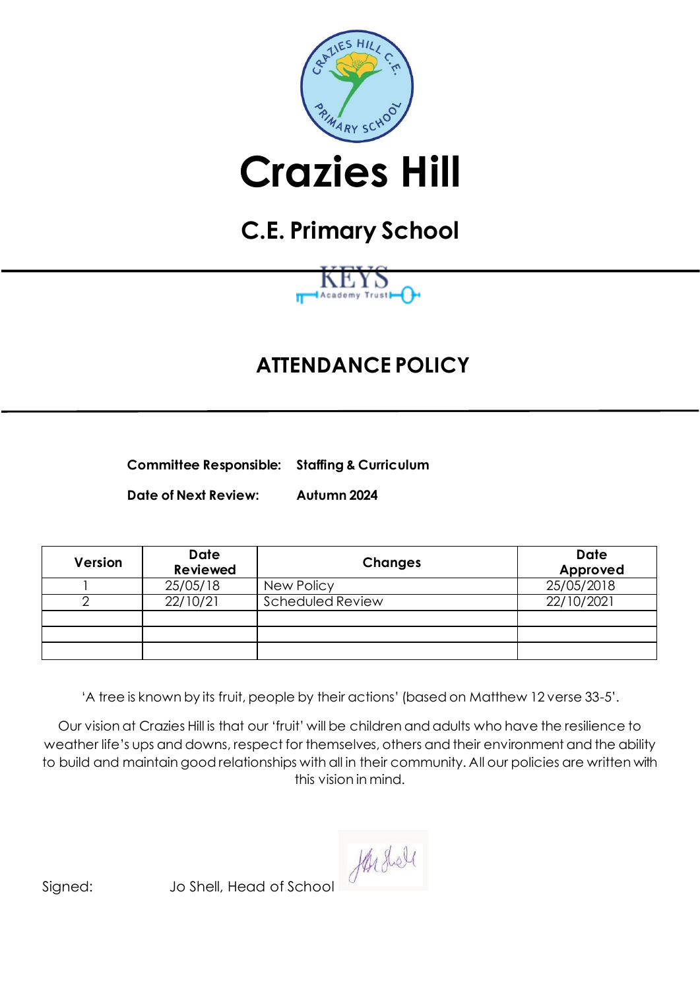

# **Crazies Hill**

# **C.E. Primary School**



## **ATTENDANCE POLICY**

**Committee Responsible: Staffing & Curriculum**

**Date of Next Review: Autumn 2024**

| Version | <b>Date</b><br><b>Reviewed</b> | <b>Changes</b>   | <b>Date</b><br>Approved |
|---------|--------------------------------|------------------|-------------------------|
|         | 25/05/18                       | New Policy       | 25/05/2018              |
|         | 22/10/21                       | Scheduled Review | 22/10/2021              |
|         |                                |                  |                         |
|         |                                |                  |                         |
|         |                                |                  |                         |

'A tree is known by its fruit, people by their actions' (based on Matthew 12 verse 33-5'.

Our vision at Crazies Hill is that our 'fruit' will be children and adults who have the resilience to weather life's ups and downs, respect for themselves, others and their environment and the ability to build and maintain good relationships with all in their community. All our policies are written with this vision in mind.

Hushell

Signed: Jo Shell, Head of School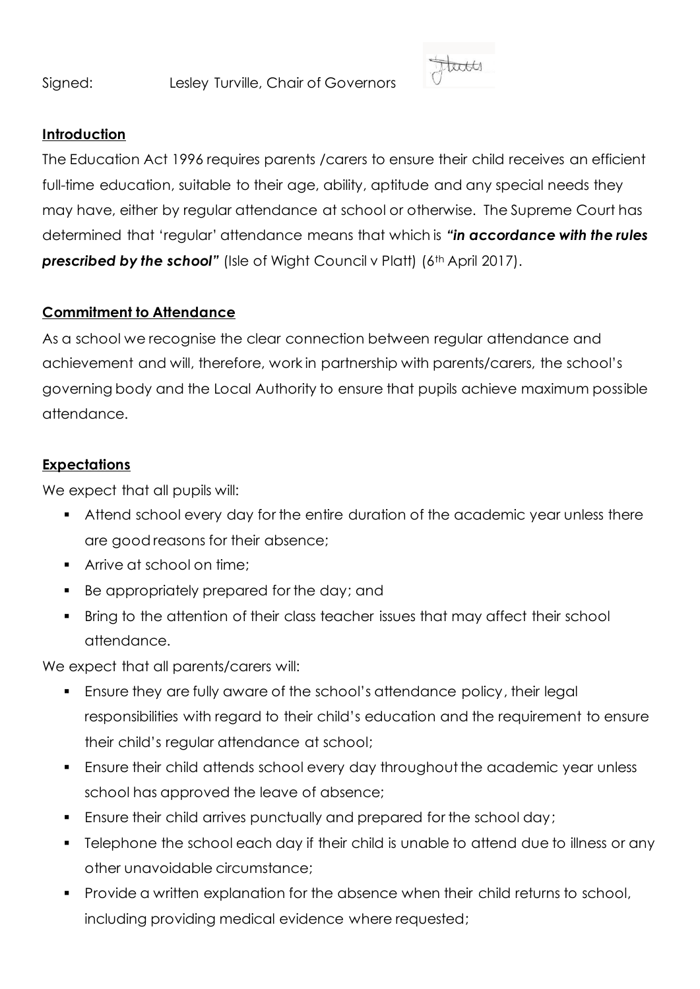Signed: Lesley Turville, Chair of Governors



#### **Introduction**

The Education Act 1996 requires parents /carers to ensure their child receives an efficient full-time education, suitable to their age, ability, aptitude and any special needs they may have, either by regular attendance at school or otherwise. The Supreme Court has determined that 'regular' attendance means that which is *"in accordance with the rules*  **prescribed by the school"** (Isle of Wight Council v Platt) (6<sup>th</sup> April 2017).

#### **Commitment to Attendance**

As a school we recognise the clear connection between regular attendance and achievement and will, therefore, work in partnership with parents/carers, the school's governing body and the Local Authority to ensure that pupils achieve maximum possible attendance.

#### **Expectations**

We expect that all pupils will:

- Attend school every day for the entire duration of the academic year unless there are good reasons for their absence;
- Arrive at school on time;
- Be appropriately prepared for the day; and
- Bring to the attention of their class teacher issues that may affect their school attendance.

We expect that all parents/carers will:

- Ensure they are fully aware of the school's attendance policy, their legal responsibilities with regard to their child's education and the requirement to ensure their child's regular attendance at school;
- Ensure their child attends school every day throughout the academic year unless school has approved the leave of absence;
- Ensure their child arrives punctually and prepared for the school day;
- Telephone the school each day if their child is unable to attend due to illness or any other unavoidable circumstance;
- Provide a written explanation for the absence when their child returns to school, including providing medical evidence where requested;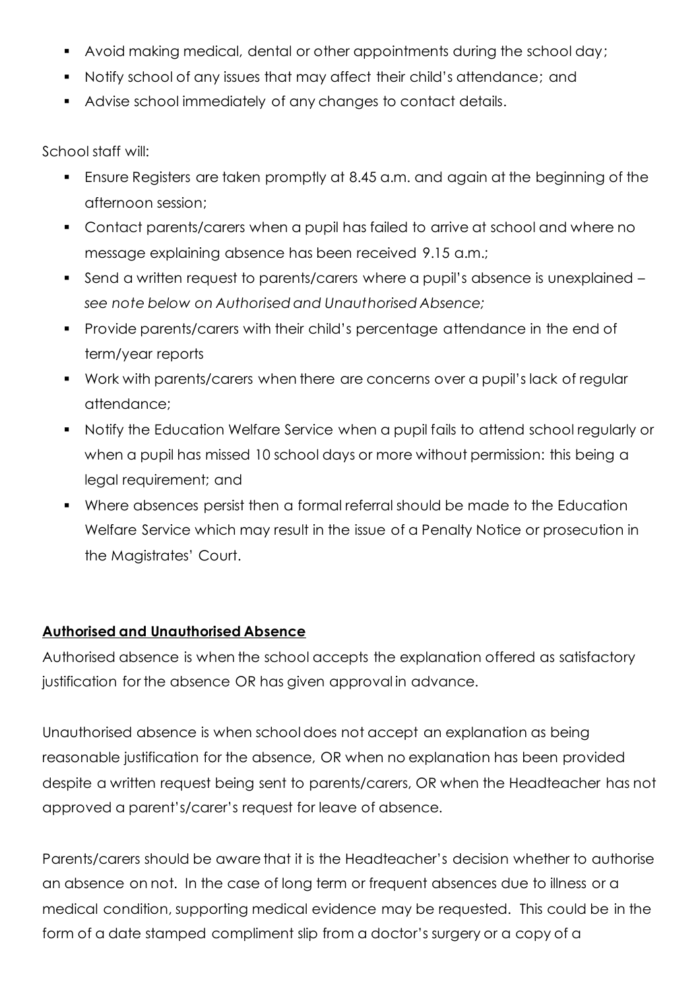- Avoid making medical, dental or other appointments during the school day;
- Notify school of any issues that may affect their child's attendance; and
- Advise school immediately of any changes to contact details.

School staff will:

- Ensure Registers are taken promptly at 8.45 a.m. and again at the beginning of the afternoon session;
- Contact parents/carers when a pupil has failed to arrive at school and where no message explaining absence has been received 9.15 a.m.;
- Send a written request to parents/carers where a pupil's absence is unexplained *see note below on Authorised and Unauthorised Absence;*
- Provide parents/carers with their child's percentage attendance in the end of term/year reports
- Work with parents/carers when there are concerns over a pupil's lack of regular attendance;
- Notify the Education Welfare Service when a pupil fails to attend school regularly or when a pupil has missed 10 school days or more without permission: this being a legal requirement; and
- Where absences persist then a formal referral should be made to the Education Welfare Service which may result in the issue of a Penalty Notice or prosecution in the Magistrates' Court.

#### **Authorised and Unauthorised Absence**

Authorised absence is when the school accepts the explanation offered as satisfactory justification for the absence OR has given approval in advance.

Unauthorised absence is when school does not accept an explanation as being reasonable justification for the absence, OR when no explanation has been provided despite a written request being sent to parents/carers, OR when the Headteacher has not approved a parent's/carer's request for leave of absence.

Parents/carers should be aware that it is the Headteacher's decision whether to authorise an absence on not. In the case of long term or frequent absences due to illness or a medical condition, supporting medical evidence may be requested. This could be in the form of a date stamped compliment slip from a doctor's surgery or a copy of a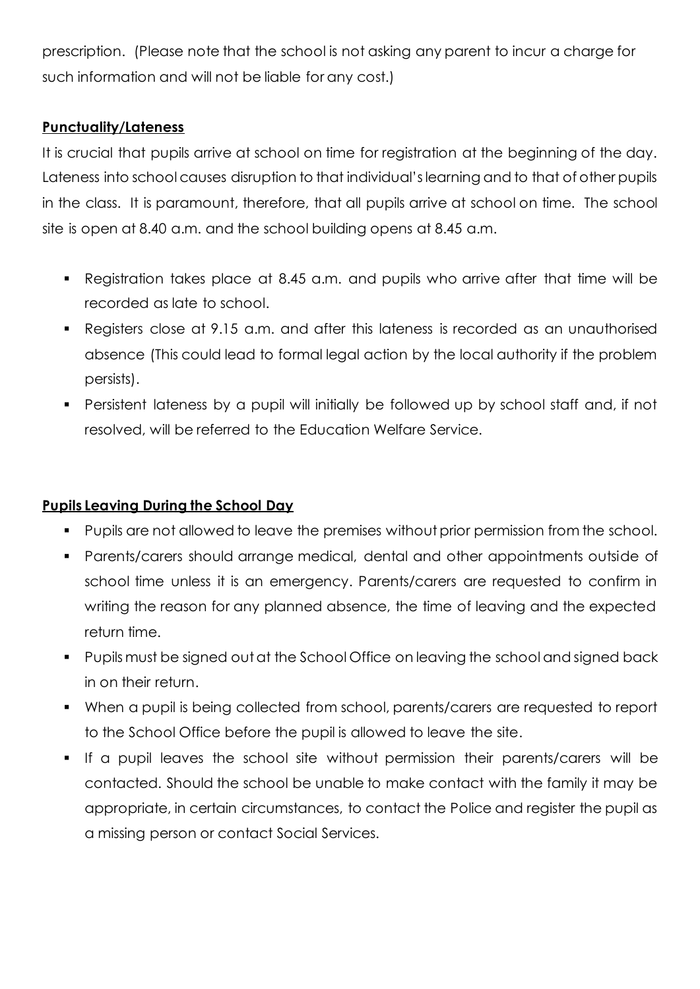prescription. (Please note that the school is not asking any parent to incur a charge for such information and will not be liable for any cost.)

#### **Punctuality/Lateness**

It is crucial that pupils arrive at school on time for registration at the beginning of the day. Lateness into school causes disruption to that individual's learning and to that of other pupils in the class. It is paramount, therefore, that all pupils arrive at school on time. The school site is open at 8.40 a.m. and the school building opens at 8.45 a.m.

- Registration takes place at 8.45 a.m. and pupils who arrive after that time will be recorded as late to school.
- Registers close at 9.15 a.m. and after this lateness is recorded as an unauthorised absence (This could lead to formal legal action by the local authority if the problem persists).
- Persistent lateness by a pupil will initially be followed up by school staff and, if not resolved, will be referred to the Education Welfare Service.

#### **Pupils Leaving During the School Day**

- Pupils are not allowed to leave the premises without prior permission from the school.
- Parents/carers should arrange medical, dental and other appointments outside of school time unless it is an emergency. Parents/carers are requested to confirm in writing the reason for any planned absence, the time of leaving and the expected return time.
- Pupils must be signed out at the School Office on leaving the school and signed back in on their return.
- When a pupil is being collected from school, parents/carers are requested to report to the School Office before the pupil is allowed to leave the site.
- If a pupil leaves the school site without permission their parents/carers will be contacted. Should the school be unable to make contact with the family it may be appropriate, in certain circumstances, to contact the Police and register the pupil as a missing person or contact Social Services.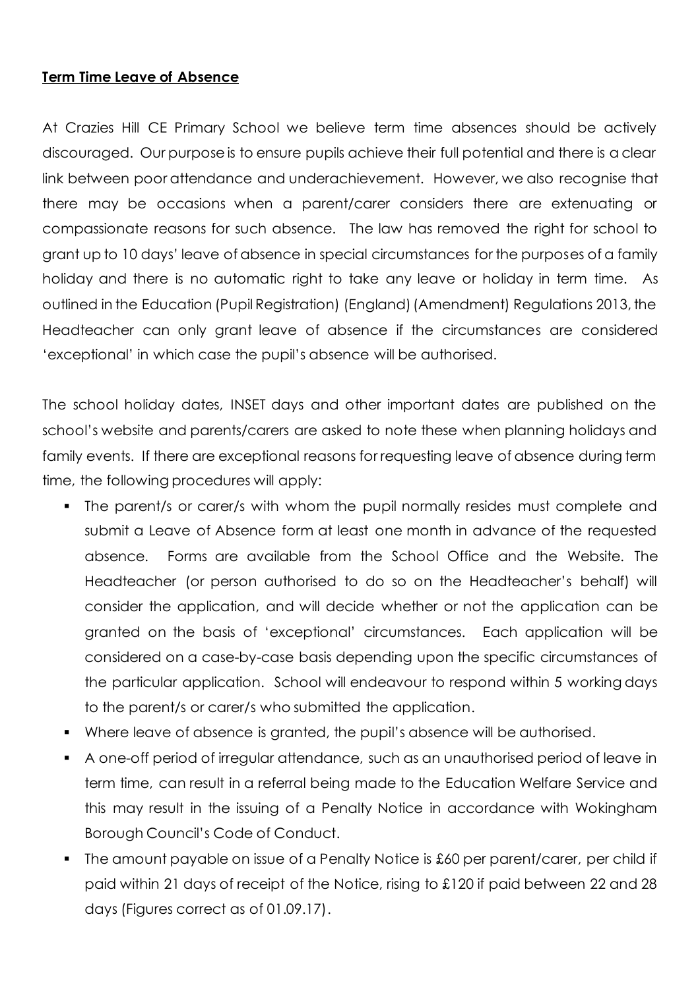#### **Term Time Leave of Absence**

At Crazies Hill CE Primary School we believe term time absences should be actively discouraged. Our purpose is to ensure pupils achieve their full potential and there is a clear link between poor attendance and underachievement. However, we also recognise that there may be occasions when a parent/carer considers there are extenuating or compassionate reasons for such absence. The law has removed the right for school to grant up to 10 days' leave of absence in special circumstances for the purposes of a family holiday and there is no automatic right to take any leave or holiday in term time. As outlined in the Education (Pupil Registration) (England) (Amendment) Regulations 2013, the Headteacher can only grant leave of absence if the circumstances are considered 'exceptional' in which case the pupil's absence will be authorised.

The school holiday dates, INSET days and other important dates are published on the school's website and parents/carers are asked to note these when planning holidays and family events. If there are exceptional reasons for requesting leave of absence during term time, the following procedures will apply:

- The parent/s or carer/s with whom the pupil normally resides must complete and submit a Leave of Absence form at least one month in advance of the requested absence. Forms are available from the School Office and the Website. The Headteacher (or person authorised to do so on the Headteacher's behalf) will consider the application, and will decide whether or not the application can be granted on the basis of 'exceptional' circumstances. Each application will be considered on a case-by-case basis depending upon the specific circumstances of the particular application. School will endeavour to respond within 5 working days to the parent/s or carer/s who submitted the application.
- Where leave of absence is granted, the pupil's absence will be authorised.
- A one-off period of irregular attendance, such as an unauthorised period of leave in term time, can result in a referral being made to the Education Welfare Service and this may result in the issuing of a Penalty Notice in accordance with Wokingham Borough Council's Code of Conduct.
- The amount payable on issue of a Penalty Notice is £60 per parent/carer, per child if paid within 21 days of receipt of the Notice, rising to £120 if paid between 22 and 28 days (Figures correct as of 01.09.17).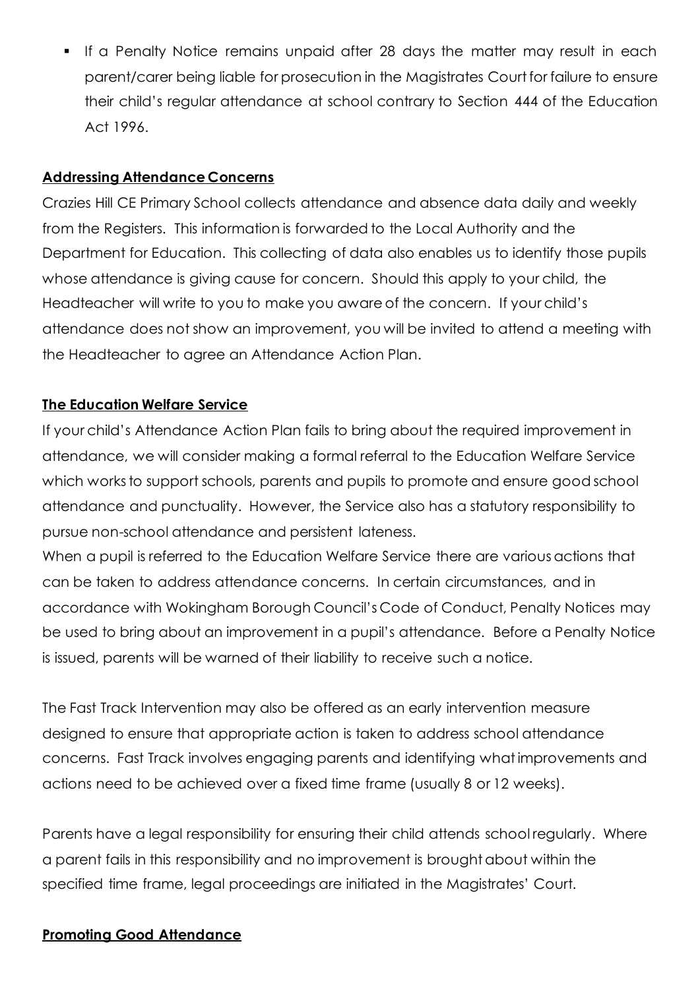**.** If a Penalty Notice remains unpaid after 28 days the matter may result in each parent/carer being liable for prosecution in the Magistrates Court for failure to ensure their child's regular attendance at school contrary to Section 444 of the Education Act 1996.

#### **Addressing Attendance Concerns**

Crazies Hill CE Primary School collects attendance and absence data daily and weekly from the Registers. This information is forwarded to the Local Authority and the Department for Education. This collecting of data also enables us to identify those pupils whose attendance is giving cause for concern. Should this apply to your child, the Headteacher will write to you to make you aware of the concern. If your child's attendance does not show an improvement, you will be invited to attend a meeting with the Headteacher to agree an Attendance Action Plan.

#### **The Education Welfare Service**

If your child's Attendance Action Plan fails to bring about the required improvement in attendance, we will consider making a formal referral to the Education Welfare Service which works to support schools, parents and pupils to promote and ensure good school attendance and punctuality. However, the Service also has a statutory responsibility to pursue non-school attendance and persistent lateness.

When a pupil is referred to the Education Welfare Service there are various actions that can be taken to address attendance concerns. In certain circumstances, and in accordance with Wokingham Borough Council's Code of Conduct, Penalty Notices may be used to bring about an improvement in a pupil's attendance. Before a Penalty Notice is issued, parents will be warned of their liability to receive such a notice.

The Fast Track Intervention may also be offered as an early intervention measure designed to ensure that appropriate action is taken to address school attendance concerns. Fast Track involves engaging parents and identifying what improvements and actions need to be achieved over a fixed time frame (usually 8 or 12 weeks).

Parents have a legal responsibility for ensuring their child attends school regularly. Where a parent fails in this responsibility and no improvement is brought about within the specified time frame, legal proceedings are initiated in the Magistrates' Court.

#### **Promoting Good Attendance**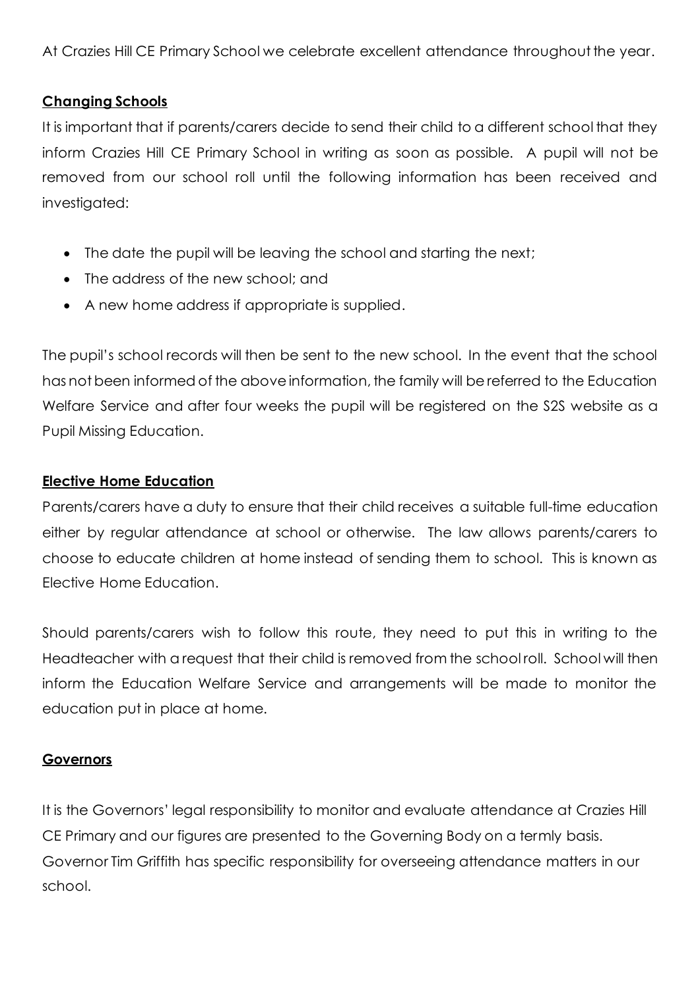At Crazies Hill CE Primary School we celebrate excellent attendance throughout the year.

### **Changing Schools**

It is important that if parents/carers decide to send their child to a different school that they inform Crazies Hill CE Primary School in writing as soon as possible. A pupil will not be removed from our school roll until the following information has been received and investigated:

- The date the pupil will be leaving the school and starting the next;
- The address of the new school; and
- A new home address if appropriate is supplied.

The pupil's school records will then be sent to the new school. In the event that the school has not been informed of the above information, the family will be referred to the Education Welfare Service and after four weeks the pupil will be registered on the S2S website as a Pupil Missing Education.

#### **Elective Home Education**

Parents/carers have a duty to ensure that their child receives a suitable full-time education either by regular attendance at school or otherwise. The law allows parents/carers to choose to educate children at home instead of sending them to school. This is known as Elective Home Education.

Should parents/carers wish to follow this route, they need to put this in writing to the Headteacher with a request that their child is removed from the school roll. School will then inform the Education Welfare Service and arrangements will be made to monitor the education put in place at home.

#### **Governors**

It is the Governors' legal responsibility to monitor and evaluate attendance at Crazies Hill CE Primary and our figures are presented to the Governing Body on a termly basis. Governor Tim Griffith has specific responsibility for overseeing attendance matters in our school.